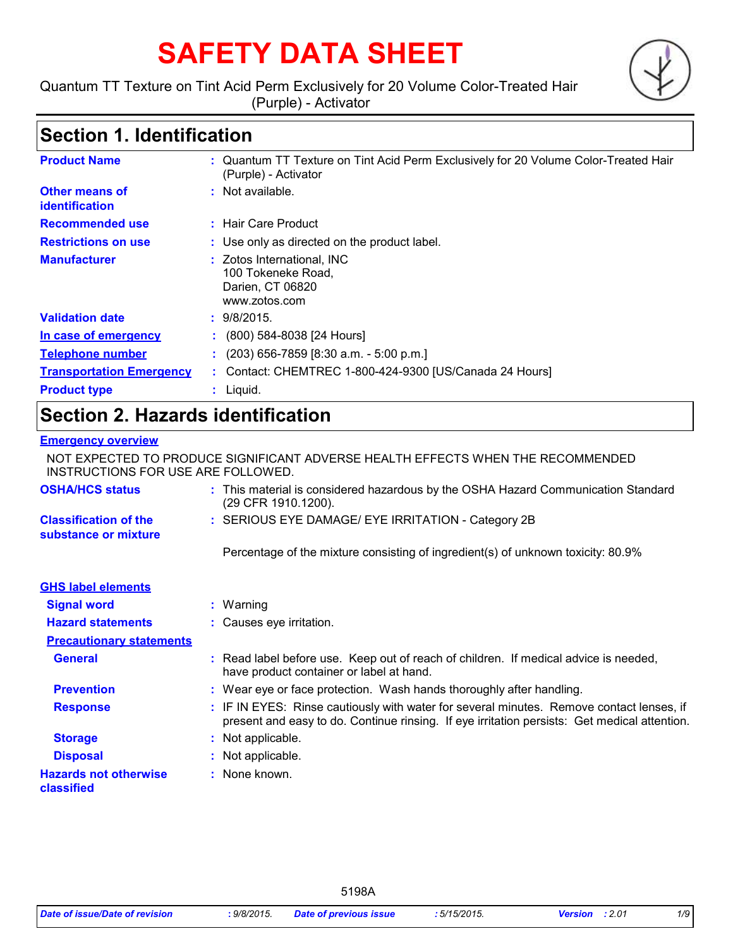# **SAFETY DATA SHEET**

Quantum TT Texture on Tint Acid Perm Exclusively for 20 Volume Color-Treated Hair (Purple) - Activator



# **Section 1. Identification**

| <b>Product Name</b>                     | : Quantum TT Texture on Tint Acid Perm Exclusively for 20 Volume Color-Treated Hair<br>(Purple) - Activator |
|-----------------------------------------|-------------------------------------------------------------------------------------------------------------|
| Other means of<br><i>identification</i> | : Not available.                                                                                            |
| <b>Recommended use</b>                  | $\pm$ Hair Care Product                                                                                     |
| <b>Restrictions on use</b>              | : Use only as directed on the product label.                                                                |
| <b>Manufacturer</b>                     | : Zotos International, INC<br>100 Tokeneke Road,<br>Darien, CT 06820<br>www.zotos.com                       |
| <b>Validation date</b>                  | : 9/8/2015.                                                                                                 |
| In case of emergency                    | $\colon$ (800) 584-8038 [24 Hours]                                                                          |
| <b>Telephone number</b>                 | $(203)$ 656-7859 [8:30 a.m. - 5:00 p.m.]                                                                    |
| <b>Transportation Emergency</b>         | : Contact: CHEMTREC 1-800-424-9300 [US/Canada 24 Hours]                                                     |
| <b>Product type</b>                     | $:$ Liquid.                                                                                                 |

# **Section 2. Hazards identification**

#### **Emergency overview**

NOT EXPECTED TO PRODUCE SIGNIFICANT ADVERSE HEALTH EFFECTS WHEN THE RECOMMENDED INSTRUCTIONS FOR USE ARE FOLLOWED.

| <b>OSHA/HCS status</b>                               | : This material is considered hazardous by the OSHA Hazard Communication Standard<br>(29 CFR 1910.1200).                                                                                 |
|------------------------------------------------------|------------------------------------------------------------------------------------------------------------------------------------------------------------------------------------------|
| <b>Classification of the</b><br>substance or mixture | : SERIOUS EYE DAMAGE/ EYE IRRITATION - Category 2B                                                                                                                                       |
|                                                      | Percentage of the mixture consisting of ingredient(s) of unknown toxicity: 80.9%                                                                                                         |
| <b>GHS label elements</b>                            |                                                                                                                                                                                          |
| <b>Signal word</b>                                   | : Warning                                                                                                                                                                                |
| <b>Hazard statements</b>                             | : Causes eye irritation.                                                                                                                                                                 |
| <b>Precautionary statements</b>                      |                                                                                                                                                                                          |
| <b>General</b>                                       | : Read label before use. Keep out of reach of children. If medical advice is needed,<br>have product container or label at hand.                                                         |
| <b>Prevention</b>                                    | : Wear eye or face protection. Wash hands thoroughly after handling.                                                                                                                     |
| <b>Response</b>                                      | : IF IN EYES: Rinse cautiously with water for several minutes. Remove contact lenses, if<br>present and easy to do. Continue rinsing. If eye irritation persists: Get medical attention. |
| <b>Storage</b>                                       | : Not applicable.                                                                                                                                                                        |
| <b>Disposal</b>                                      | : Not applicable.                                                                                                                                                                        |
| <b>Hazards not otherwise</b><br>classified           | : None known.                                                                                                                                                                            |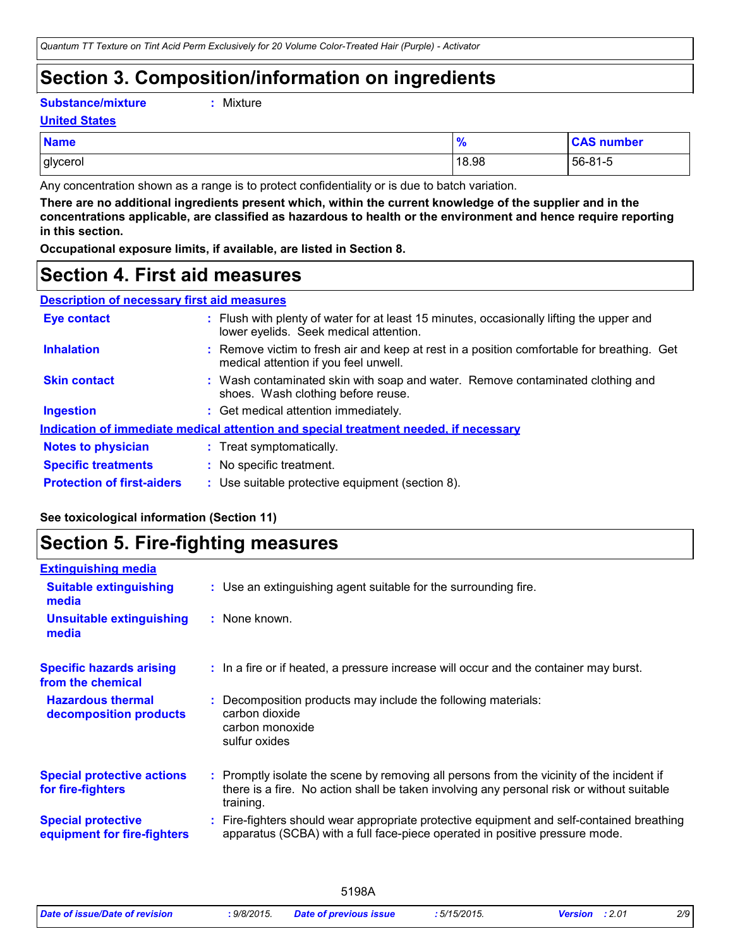### **Section 3. Composition/information on ingredients**

**Substance/mixture :**

```
: Mixture
```
**United States**

| <b>Name</b> | $\mathbf{0}$<br>70 | <b>CAS number</b> |
|-------------|--------------------|-------------------|
| glycerol    | 18.98              | 56-81-5           |

Any concentration shown as a range is to protect confidentiality or is due to batch variation.

**There are no additional ingredients present which, within the current knowledge of the supplier and in the concentrations applicable, are classified as hazardous to health or the environment and hence require reporting in this section.**

**Occupational exposure limits, if available, are listed in Section 8.**

### **Section 4. First aid measures**

| <b>Description of necessary first aid measures</b> |                                                                                                                                                                                                                                                                          |
|----------------------------------------------------|--------------------------------------------------------------------------------------------------------------------------------------------------------------------------------------------------------------------------------------------------------------------------|
| Eye contact                                        | : Flush with plenty of water for at<br>$\mathbf{r}$ . The contract of the contract of the contract of the contract of the contract of the contract of the contract of the contract of the contract of the contract of the contract of the contract of the contract of th |

| <b>Eye contact</b>                | : Flush with plenty of water for at least 15 minutes, occasionally lifting the upper and<br>lower eyelids. Seek medical attention.  |  |
|-----------------------------------|-------------------------------------------------------------------------------------------------------------------------------------|--|
| <b>Inhalation</b>                 | : Remove victim to fresh air and keep at rest in a position comfortable for breathing. Get<br>medical attention if you feel unwell. |  |
| <b>Skin contact</b>               | : Wash contaminated skin with soap and water. Remove contaminated clothing and<br>shoes. Wash clothing before reuse.                |  |
| <b>Ingestion</b>                  | : Get medical attention immediately.                                                                                                |  |
|                                   | Indication of immediate medical attention and special treatment needed, if necessary                                                |  |
| <b>Notes to physician</b>         | : Treat symptomatically.                                                                                                            |  |
| <b>Specific treatments</b>        | : No specific treatment.                                                                                                            |  |
| <b>Protection of first-aiders</b> | : Use suitable protective equipment (section 8).                                                                                    |  |

#### **See toxicological information (Section 11)**

### **Section 5. Fire-fighting measures**

| <b>Extinguishing media</b>                               |                                                                                                                                                                                                     |
|----------------------------------------------------------|-----------------------------------------------------------------------------------------------------------------------------------------------------------------------------------------------------|
| <b>Suitable extinguishing</b><br>media                   | : Use an extinguishing agent suitable for the surrounding fire.                                                                                                                                     |
| <b>Unsuitable extinguishing</b><br>media                 | : None known.                                                                                                                                                                                       |
| <b>Specific hazards arising</b><br>from the chemical     | : In a fire or if heated, a pressure increase will occur and the container may burst.                                                                                                               |
| <b>Hazardous thermal</b><br>decomposition products       | Decomposition products may include the following materials:<br>carbon dioxide<br>carbon monoxide<br>sulfur oxides                                                                                   |
| <b>Special protective actions</b><br>for fire-fighters   | : Promptly isolate the scene by removing all persons from the vicinity of the incident if<br>there is a fire. No action shall be taken involving any personal risk or without suitable<br>training. |
| <b>Special protective</b><br>equipment for fire-fighters | Fire-fighters should wear appropriate protective equipment and self-contained breathing<br>apparatus (SCBA) with a full face-piece operated in positive pressure mode.                              |
|                                                          |                                                                                                                                                                                                     |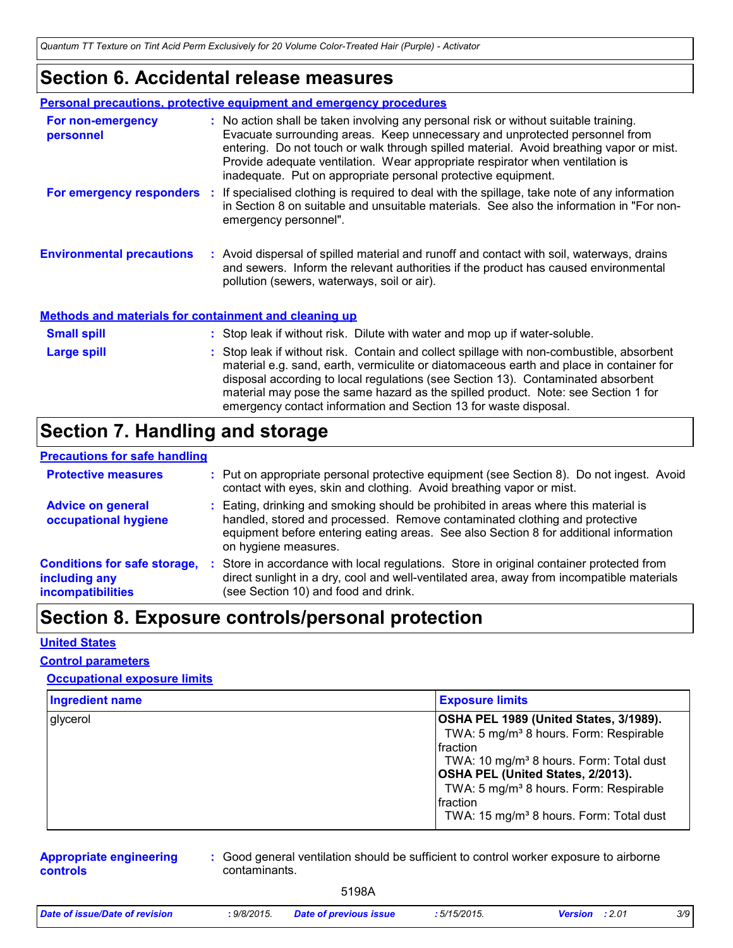*Quantum TT Texture on Tint Acid Perm Exclusively for 20 Volume Color-Treated Hair (Purple) - Activator*

### **Section 6. Accidental release measures**

|                                  | Personal precautions, protective equipment and emergency procedures                                                                                                                                                                                                                                                                                                                                              |
|----------------------------------|------------------------------------------------------------------------------------------------------------------------------------------------------------------------------------------------------------------------------------------------------------------------------------------------------------------------------------------------------------------------------------------------------------------|
| For non-emergency<br>personnel   | : No action shall be taken involving any personal risk or without suitable training.<br>Evacuate surrounding areas. Keep unnecessary and unprotected personnel from<br>entering. Do not touch or walk through spilled material. Avoid breathing vapor or mist.<br>Provide adequate ventilation. Wear appropriate respirator when ventilation is<br>inadequate. Put on appropriate personal protective equipment. |
| For emergency responders :       | If specialised clothing is required to deal with the spillage, take note of any information<br>in Section 8 on suitable and unsuitable materials. See also the information in "For non-<br>emergency personnel".                                                                                                                                                                                                 |
| <b>Environmental precautions</b> | : Avoid dispersal of spilled material and runoff and contact with soil, waterways, drains<br>and sewers. Inform the relevant authorities if the product has caused environmental<br>pollution (sewers, waterways, soil or air).                                                                                                                                                                                  |

#### **Methods and materials for containment and cleaning up**

| <b>Small spill</b> | : Stop leak if without risk. Dilute with water and mop up if water-soluble.                                                                                                                                                                                                                                                                                                                                                       |
|--------------------|-----------------------------------------------------------------------------------------------------------------------------------------------------------------------------------------------------------------------------------------------------------------------------------------------------------------------------------------------------------------------------------------------------------------------------------|
| <b>Large spill</b> | : Stop leak if without risk. Contain and collect spillage with non-combustible, absorbent<br>material e.g. sand, earth, vermiculite or diatomaceous earth and place in container for<br>disposal according to local regulations (see Section 13). Contaminated absorbent<br>material may pose the same hazard as the spilled product. Note: see Section 1 for<br>emergency contact information and Section 13 for waste disposal. |

# **Section 7. Handling and storage**

#### **Precautions for safe handling**

| <b>Protective measures</b>                                                       |     | : Put on appropriate personal protective equipment (see Section 8). Do not ingest. Avoid<br>contact with eyes, skin and clothing. Avoid breathing vapor or mist.                                                                                                                   |
|----------------------------------------------------------------------------------|-----|------------------------------------------------------------------------------------------------------------------------------------------------------------------------------------------------------------------------------------------------------------------------------------|
| <b>Advice on general</b><br>occupational hygiene                                 |     | : Eating, drinking and smoking should be prohibited in areas where this material is<br>handled, stored and processed. Remove contaminated clothing and protective<br>equipment before entering eating areas. See also Section 8 for additional information<br>on hygiene measures. |
| <b>Conditions for safe storage,</b><br>including any<br><b>incompatibilities</b> | -11 | Store in accordance with local regulations. Store in original container protected from<br>direct sunlight in a dry, cool and well-ventilated area, away from incompatible materials<br>(see Section 10) and food and drink.                                                        |

# **Section 8. Exposure controls/personal protection**

#### **United States**

#### **Control parameters**

#### **Occupational exposure limits**

| <b>Ingredient name</b> | <b>Exposure limits</b>                                                                                                                                                                                                                                                                                                                          |
|------------------------|-------------------------------------------------------------------------------------------------------------------------------------------------------------------------------------------------------------------------------------------------------------------------------------------------------------------------------------------------|
| glycerol               | OSHA PEL 1989 (United States, 3/1989).<br>TWA: 5 mg/m <sup>3</sup> 8 hours. Form: Respirable<br><b>I</b> fraction<br>TWA: 10 mg/m <sup>3</sup> 8 hours. Form: Total dust<br>OSHA PEL (United States, 2/2013).<br>TWA: 5 mg/m <sup>3</sup> 8 hours. Form: Respirable<br><b>I</b> fraction<br>TWA: 15 mg/m <sup>3</sup> 8 hours. Form: Total dust |

#### **Appropriate engineering controls**

**:** Good general ventilation should be sufficient to control worker exposure to airborne contaminants.

| Date of issue/Date of revision | $9/8/2015$ . | <b>Date of previous issue</b> | : 5/15/2015. | <b>Version</b> : 2.01 | 3/9 |
|--------------------------------|--------------|-------------------------------|--------------|-----------------------|-----|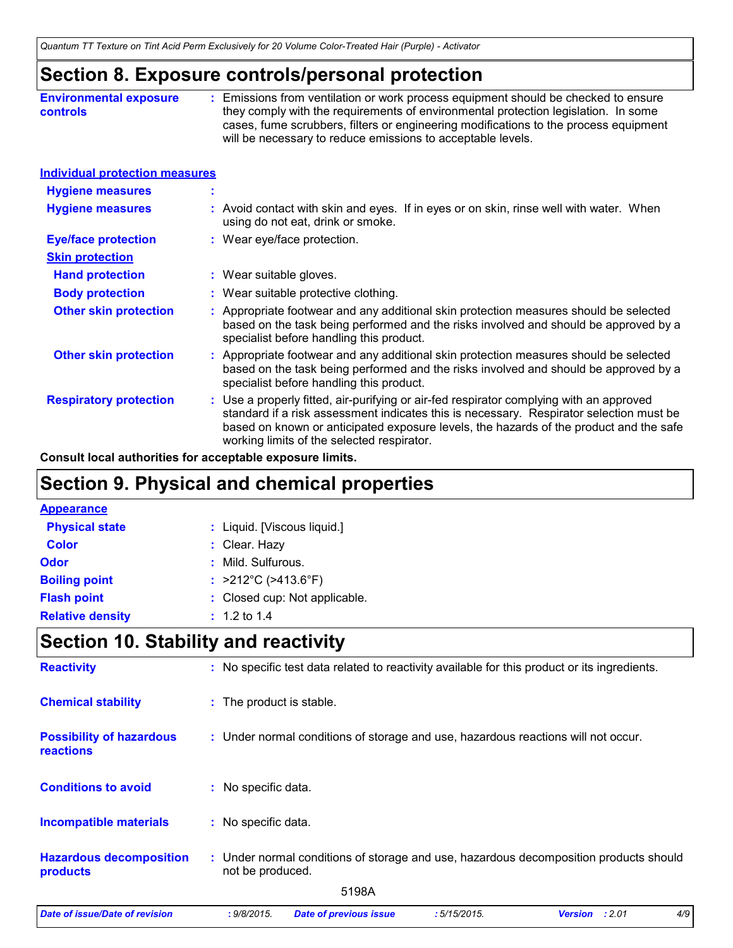### **Section 8. Exposure controls/personal protection**

| <b>Environmental exposure</b> | Emissions from ventilation or work process equipment should be checked to ensure     |
|-------------------------------|--------------------------------------------------------------------------------------|
| <b>controls</b>               | they comply with the requirements of environmental protection legislation. In some   |
|                               | cases, fume scrubbers, filters or engineering modifications to the process equipment |
|                               | will be necessary to reduce emissions to acceptable levels.                          |

| Individual protection measures |
|--------------------------------|
|--------------------------------|

| <b>Hygiene measures</b>       | $\mathbf{r}$                                                                                                                                                                                                                                                                                                               |
|-------------------------------|----------------------------------------------------------------------------------------------------------------------------------------------------------------------------------------------------------------------------------------------------------------------------------------------------------------------------|
| <b>Hygiene measures</b>       | : Avoid contact with skin and eyes. If in eyes or on skin, rinse well with water. When<br>using do not eat, drink or smoke.                                                                                                                                                                                                |
| <b>Eye/face protection</b>    | : Wear eye/face protection.                                                                                                                                                                                                                                                                                                |
| <b>Skin protection</b>        |                                                                                                                                                                                                                                                                                                                            |
| <b>Hand protection</b>        | : Wear suitable gloves.                                                                                                                                                                                                                                                                                                    |
| <b>Body protection</b>        | : Wear suitable protective clothing.                                                                                                                                                                                                                                                                                       |
| <b>Other skin protection</b>  | : Appropriate footwear and any additional skin protection measures should be selected<br>based on the task being performed and the risks involved and should be approved by a<br>specialist before handling this product.                                                                                                  |
| <b>Other skin protection</b>  | : Appropriate footwear and any additional skin protection measures should be selected<br>based on the task being performed and the risks involved and should be approved by a<br>specialist before handling this product.                                                                                                  |
| <b>Respiratory protection</b> | : Use a properly fitted, air-purifying or air-fed respirator complying with an approved<br>standard if a risk assessment indicates this is necessary. Respirator selection must be<br>based on known or anticipated exposure levels, the hazards of the product and the safe<br>working limits of the selected respirator. |

**Consult local authorities for acceptable exposure limits.**

# **Section 9. Physical and chemical properties**

| : Liquid. [Viscous liquid.]              |
|------------------------------------------|
| : Clear. Hazy                            |
| : Mild. Sulfurous.                       |
| : $>212^{\circ}$ C ( $>413.6^{\circ}$ F) |
| : Closed cup: Not applicable.            |
| $: 1.2 \text{ to } 1.4$                  |
|                                          |

# **Section 10. Stability and reactivity**

| <b>Date of issue/Date of revision</b>               | : 9/8/2015.         | <b>Date of previous issue</b>                                                                | :5/15/2015. | <b>Version</b> | : 2.01 | 4/9 |  |
|-----------------------------------------------------|---------------------|----------------------------------------------------------------------------------------------|-------------|----------------|--------|-----|--|
|                                                     |                     | 5198A                                                                                        |             |                |        |     |  |
| <b>Hazardous decomposition</b><br>products          | not be produced.    | : Under normal conditions of storage and use, hazardous decomposition products should        |             |                |        |     |  |
| <b>Incompatible materials</b>                       | : No specific data. |                                                                                              |             |                |        |     |  |
| <b>Conditions to avoid</b>                          | : No specific data. |                                                                                              |             |                |        |     |  |
| <b>Possibility of hazardous</b><br><b>reactions</b> |                     | : Under normal conditions of storage and use, hazardous reactions will not occur.            |             |                |        |     |  |
| <b>Chemical stability</b>                           |                     | : The product is stable.                                                                     |             |                |        |     |  |
| <b>Reactivity</b>                                   |                     | : No specific test data related to reactivity available for this product or its ingredients. |             |                |        |     |  |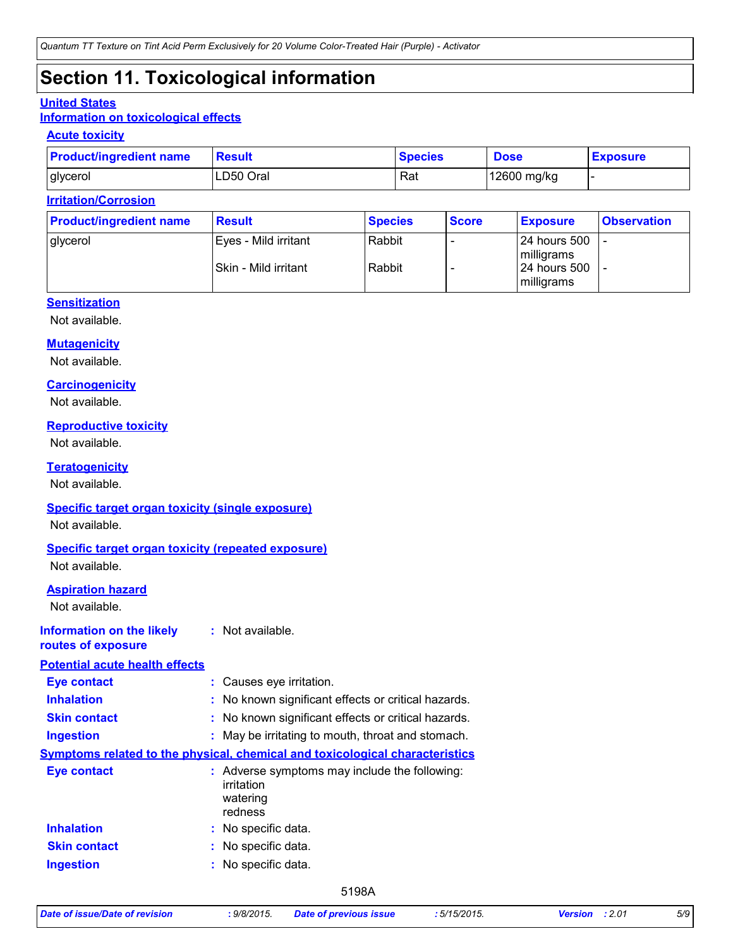# **Section 11. Toxicological information**

#### **United States**

#### **Information on toxicological effects**

#### **Acute toxicity**

| <b>Product/ingredient name</b> | <b>Result</b> | <b>Species</b> | <b>Dose</b> | <b>Exposure</b> |
|--------------------------------|---------------|----------------|-------------|-----------------|
| glycerol                       | LD50 Oral     | Rat            | 12600 mg/kg |                 |

#### **Irritation/Corrosion**

| <b>Product/ingredient name</b> | <b>Result</b>        | <b>Species</b> | <b>Score</b> | <b>Exposure</b>              | <b>Observation</b> |
|--------------------------------|----------------------|----------------|--------------|------------------------------|--------------------|
| glycerol                       | Eyes - Mild irritant | Rabbit         |              | 24 hours 500<br>milligrams   |                    |
|                                | Skin - Mild irritant | Rabbit         |              | l 24 hours 500<br>milligrams |                    |

#### **Sensitization**

Not available.

#### **Mutagenicity**

Not available.

#### **Carcinogenicity**

Not available.

#### **Reproductive toxicity**

Not available.

#### **Teratogenicity**

Not available.

#### **Specific target organ toxicity (single exposure)**

Not available.

#### **Specific target organ toxicity (repeated exposure)**

Not available.

#### **Aspiration hazard**

Not available.

#### **Information on the likely :** Not available. **routes of exposure**

**Potential acute health** 

| Potential acute health effects |                                                                                     |
|--------------------------------|-------------------------------------------------------------------------------------|
| <b>Eye contact</b>             | : Causes eye irritation.                                                            |
| <b>Inhalation</b>              | : No known significant effects or critical hazards.                                 |
| <b>Skin contact</b>            | : No known significant effects or critical hazards.                                 |
| <b>Ingestion</b>               | : May be irritating to mouth, throat and stomach.                                   |
|                                | <b>Symptoms related to the physical, chemical and toxicological characteristics</b> |
| <b>Eye contact</b>             | : Adverse symptoms may include the following:<br>irritation<br>watering<br>redness  |
| <b>Inhalation</b>              | : No specific data.                                                                 |
| <b>Skin contact</b>            | : No specific data.                                                                 |
| <b>Ingestion</b>               | : No specific data.                                                                 |
|                                |                                                                                     |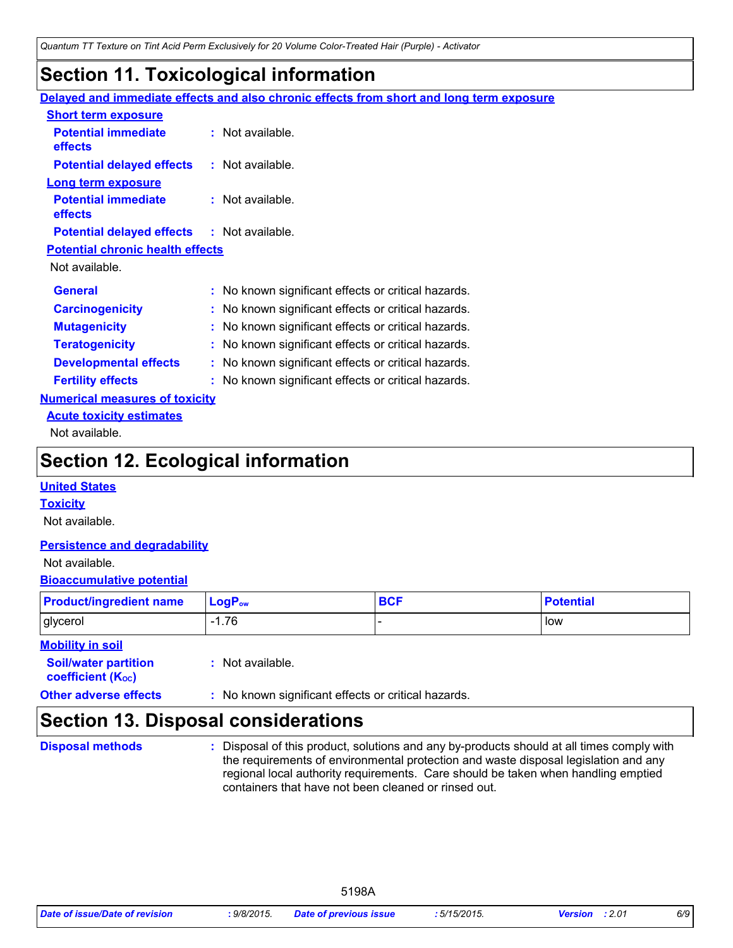### **Section 11. Toxicological information**

|                                                   | Delayed and immediate effects and also chronic effects from short and long term exposure |
|---------------------------------------------------|------------------------------------------------------------------------------------------|
| <b>Short term exposure</b>                        |                                                                                          |
| <b>Potential immediate</b><br><b>effects</b>      | $:$ Not available.                                                                       |
| <b>Potential delayed effects</b>                  | : Not available.                                                                         |
| <b>Long term exposure</b>                         |                                                                                          |
| <b>Potential immediate</b>                        | : Not available.                                                                         |
| effects                                           |                                                                                          |
| <b>Potential delayed effects : Not available.</b> |                                                                                          |
| <b>Potential chronic health effects</b>           |                                                                                          |
| Not available.                                    |                                                                                          |
| <b>General</b>                                    | : No known significant effects or critical hazards.                                      |
| <b>Carcinogenicity</b>                            | : No known significant effects or critical hazards.                                      |
| <b>Mutagenicity</b>                               | : No known significant effects or critical hazards.                                      |
| <b>Teratogenicity</b>                             | : No known significant effects or critical hazards.                                      |
| <b>Developmental effects</b>                      | : No known significant effects or critical hazards.                                      |
| <b>Fertility effects</b>                          | : No known significant effects or critical hazards.                                      |
| <b>Numerical measures of toxicity</b>             |                                                                                          |
| <b>Acute toxicity estimates</b>                   |                                                                                          |
| Not available.                                    |                                                                                          |

### **Section 12. Ecological information**

#### **United States**

#### **Toxicity**

Not available.

#### **Persistence and degradability**

#### Not available.

#### **Bioaccumulative potential**

| <b>Product/ingredient name</b> | $\mathsf{LogP}_\mathsf{ow}$ | <b>BCF</b> | <b>Potential</b> |
|--------------------------------|-----------------------------|------------|------------------|
| glycerol                       | 1.76                        |            | low              |

5198A

#### **Mobility in soil**

**Soil/water partition coefficient (KOC) :** Not available.

#### **Other adverse effects** : No known significant effects or critical hazards.

### **Section 13. Disposal considerations**

#### **Disposal methods :**

Disposal of this product, solutions and any by-products should at all times comply with the requirements of environmental protection and waste disposal legislation and any regional local authority requirements. Care should be taken when handling emptied containers that have not been cleaned or rinsed out.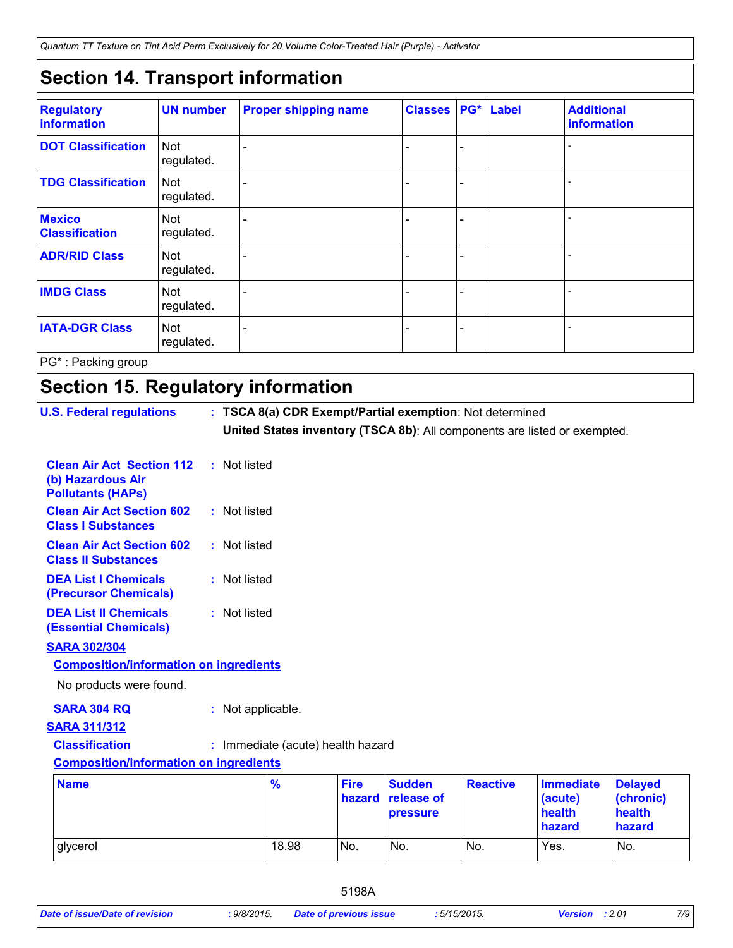*Quantum TT Texture on Tint Acid Perm Exclusively for 20 Volume Color-Treated Hair (Purple) - Activator*

# **Section 14. Transport information**

| <b>Regulatory</b><br>information       | <b>UN number</b>         | <b>Proper shipping name</b> | <b>Classes</b> |                              | PG* Label | <b>Additional</b><br>information |
|----------------------------------------|--------------------------|-----------------------------|----------------|------------------------------|-----------|----------------------------------|
| <b>DOT Classification</b>              | <b>Not</b><br>regulated. |                             |                | $\qquad \qquad \blacksquare$ |           |                                  |
| <b>TDG Classification</b>              | <b>Not</b><br>regulated. |                             |                | $\qquad \qquad -$            |           |                                  |
| <b>Mexico</b><br><b>Classification</b> | <b>Not</b><br>regulated. |                             |                | $\overline{\phantom{0}}$     |           |                                  |
| <b>ADR/RID Class</b>                   | <b>Not</b><br>regulated. |                             |                | $\overline{\phantom{0}}$     |           |                                  |
| <b>IMDG Class</b>                      | <b>Not</b><br>regulated. |                             |                | $\overline{\phantom{0}}$     |           |                                  |
| <b>IATA-DGR Class</b>                  | <b>Not</b><br>regulated. |                             |                | $\overline{\phantom{0}}$     |           |                                  |

PG\* : Packing group

# **Section 15. Regulatory information**

| <b>U.S. Federal regulations</b>                                                   | : TSCA 8(a) CDR Exempt/Partial exemption: Not determined<br>United States inventory (TSCA 8b): All components are listed or exempted. |                       |                                         |                 |                                                 |                                                 |
|-----------------------------------------------------------------------------------|---------------------------------------------------------------------------------------------------------------------------------------|-----------------------|-----------------------------------------|-----------------|-------------------------------------------------|-------------------------------------------------|
| <b>Clean Air Act Section 112</b><br>(b) Hazardous Air<br><b>Pollutants (HAPs)</b> | : Not listed                                                                                                                          |                       |                                         |                 |                                                 |                                                 |
| <b>Clean Air Act Section 602</b><br><b>Class I Substances</b>                     | : Not listed                                                                                                                          |                       |                                         |                 |                                                 |                                                 |
| <b>Clean Air Act Section 602</b><br><b>Class II Substances</b>                    | : Not listed                                                                                                                          |                       |                                         |                 |                                                 |                                                 |
| <b>DEA List I Chemicals</b><br>(Precursor Chemicals)                              | : Not listed                                                                                                                          |                       |                                         |                 |                                                 |                                                 |
| <b>DEA List II Chemicals</b><br><b>(Essential Chemicals)</b>                      | : Not listed                                                                                                                          |                       |                                         |                 |                                                 |                                                 |
| <b>SARA 302/304</b>                                                               |                                                                                                                                       |                       |                                         |                 |                                                 |                                                 |
| <b>Composition/information on ingredients</b>                                     |                                                                                                                                       |                       |                                         |                 |                                                 |                                                 |
| No products were found.                                                           |                                                                                                                                       |                       |                                         |                 |                                                 |                                                 |
| <b>SARA 304 RQ</b>                                                                | : Not applicable.                                                                                                                     |                       |                                         |                 |                                                 |                                                 |
| <b>SARA 311/312</b>                                                               |                                                                                                                                       |                       |                                         |                 |                                                 |                                                 |
| <b>Classification</b>                                                             | : Immediate (acute) health hazard                                                                                                     |                       |                                         |                 |                                                 |                                                 |
| <b>Composition/information on ingredients</b>                                     |                                                                                                                                       |                       |                                         |                 |                                                 |                                                 |
| <b>Name</b>                                                                       | %                                                                                                                                     | <b>Fire</b><br>hazard | <b>Sudden</b><br>release of<br>pressure | <b>Reactive</b> | <b>Immediate</b><br>(acute)<br>health<br>hazard | <b>Delayed</b><br>(chronic)<br>health<br>hazard |
| glycerol                                                                          | 18.98                                                                                                                                 | No.                   | No.                                     | No.             | Yes.                                            | No.                                             |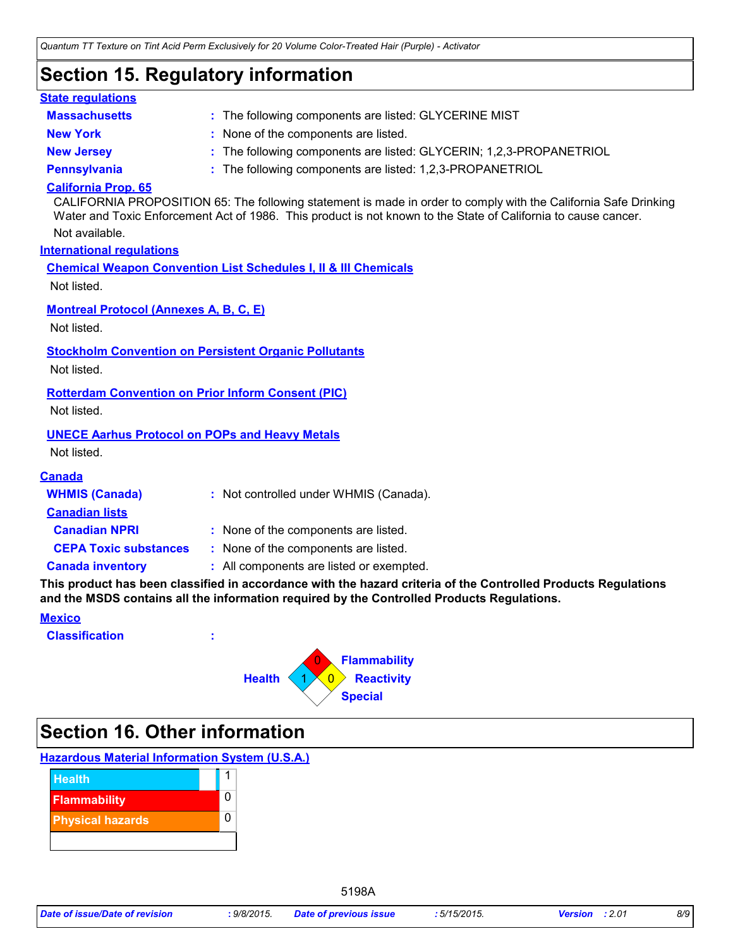# **Section 15. Regulatory information**

| <b>State regulations</b>                                     |                                                                                                                                                                                                                                   |
|--------------------------------------------------------------|-----------------------------------------------------------------------------------------------------------------------------------------------------------------------------------------------------------------------------------|
| <b>Massachusetts</b>                                         | : The following components are listed: GLYCERINE MIST                                                                                                                                                                             |
| <b>New York</b>                                              | : None of the components are listed.                                                                                                                                                                                              |
| <b>New Jersey</b>                                            | : The following components are listed: GLYCERIN; 1,2,3-PROPANETRIOL                                                                                                                                                               |
| <b>Pennsylvania</b>                                          | : The following components are listed: 1,2,3-PROPANETRIOL                                                                                                                                                                         |
| <b>California Prop. 65</b>                                   | CALIFORNIA PROPOSITION 65: The following statement is made in order to comply with the California Safe Drinking<br>Water and Toxic Enforcement Act of 1986. This product is not known to the State of California to cause cancer. |
| Not available.                                               |                                                                                                                                                                                                                                   |
| <b>International requlations</b>                             |                                                                                                                                                                                                                                   |
|                                                              | <b>Chemical Weapon Convention List Schedules I, II &amp; III Chemicals</b>                                                                                                                                                        |
| Not listed.                                                  |                                                                                                                                                                                                                                   |
| <b>Montreal Protocol (Annexes A, B, C, E)</b><br>Not listed. |                                                                                                                                                                                                                                   |
|                                                              | <b>Stockholm Convention on Persistent Organic Pollutants</b>                                                                                                                                                                      |
| Not listed.                                                  |                                                                                                                                                                                                                                   |
| <b>Rotterdam Convention on Prior Inform Consent (PIC)</b>    |                                                                                                                                                                                                                                   |
| Not listed.                                                  |                                                                                                                                                                                                                                   |
| <b>UNECE Aarhus Protocol on POPs and Heavy Metals</b>        |                                                                                                                                                                                                                                   |
| Not listed.                                                  |                                                                                                                                                                                                                                   |
| <b>Canada</b>                                                |                                                                                                                                                                                                                                   |
| <b>WHMIS (Canada)</b>                                        | : Not controlled under WHMIS (Canada).                                                                                                                                                                                            |
| <b>Canadian lists</b>                                        |                                                                                                                                                                                                                                   |
| <b>Canadian NPRI</b>                                         | : None of the components are listed.                                                                                                                                                                                              |
| <b>CEPA Toxic substances</b>                                 | : None of the components are listed.                                                                                                                                                                                              |
| <b>Canada inventory</b>                                      | : All components are listed or exempted.                                                                                                                                                                                          |
|                                                              | This product has been classified in accordance with the hazard criteria of the Controlled Products Regulations<br>and the MSDS contains all the information required by the Controlled Products Regulations.                      |
| <b>Mexico</b>                                                |                                                                                                                                                                                                                                   |
| <b>Classification</b>                                        |                                                                                                                                                                                                                                   |
|                                                              | <b>Flammability</b>                                                                                                                                                                                                               |
|                                                              | $ 0\rangle$<br><b>Health</b><br><b>Reactivity</b>                                                                                                                                                                                 |
|                                                              | <b>Special</b>                                                                                                                                                                                                                    |

# **Section 16. Other information**